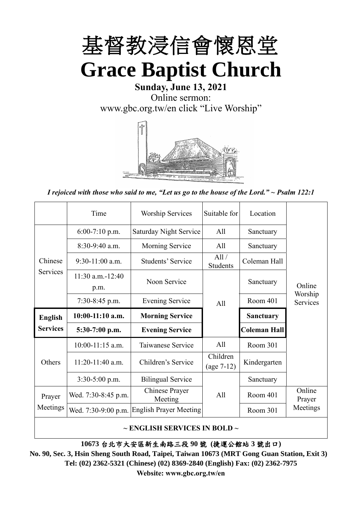

# **Sunday, June 13, 2021** Online sermon: [www.gbc.org.tw/en](http://www.gbc.org.tw/en) click "Live Worship"



*I rejoiced with those who said to me, "Let us go to the house of the Lord." ~ Psalm 122:1*

|                 | Time                          | <b>Worship Services</b>       | Suitable for             | Location            |                     |
|-----------------|-------------------------------|-------------------------------|--------------------------|---------------------|---------------------|
|                 | $6:00-7:10$ p.m.              | <b>Saturday Night Service</b> | All                      | Sanctuary           |                     |
|                 | $8:30-9:40$ a.m.              | <b>Morning Service</b>        | A11                      | Sanctuary           |                     |
| Chinese         | $9:30-11:00$ a.m.             | Students' Service             | All/<br>Students         | Coleman Hall        |                     |
| Services        | $11:30$ a.m. $-12:40$<br>p.m. | Noon Service                  |                          | Sanctuary           | Online              |
|                 | $7:30-8:45$ p.m.              | <b>Evening Service</b>        | A11                      | Room 401            | Worship<br>Services |
| <b>English</b>  | $10:00-11:10$ a.m.            | <b>Morning Service</b>        |                          | <b>Sanctuary</b>    |                     |
|                 |                               |                               |                          |                     |                     |
| <b>Services</b> | $5:30-7:00$ p.m.              | <b>Evening Service</b>        |                          | <b>Coleman Hall</b> |                     |
|                 | $10:00-11:15$ a.m.            | Taiwanese Service             | A11                      | Room 301            |                     |
| Others          | $11:20-11:40$ a.m.            | Children's Service            | Children<br>$(age 7-12)$ | Kindergarten        |                     |
|                 | $3:30-5:00$ p.m.              | <b>Bilingual Service</b>      |                          | Sanctuary           |                     |
| Prayer          | Wed. 7:30-8:45 p.m.           | Chinese Prayer<br>Meeting     | A <sup>11</sup>          | Room 401            | Online<br>Prayer    |
| Meetings        | Wed. 7:30-9:00 p.m.           | <b>English Prayer Meeting</b> |                          | Room 301            | Meetings            |

**~ ENGLISH SERVICES IN BOLD ~**

**10673** 台北市大安區新生南路三段 **90** 號 **(**捷運公館站 **3** 號出口**)**

**No. 90, Sec. 3, Hsin Sheng South Road, Taipei, Taiwan 10673 (MRT Gong Guan Station, Exit 3) Tel: (02) 2362-5321 (Chinese) (02) 8369-2840 (English) Fax: (02) 2362-7975 Website: www.gbc.org.tw/en**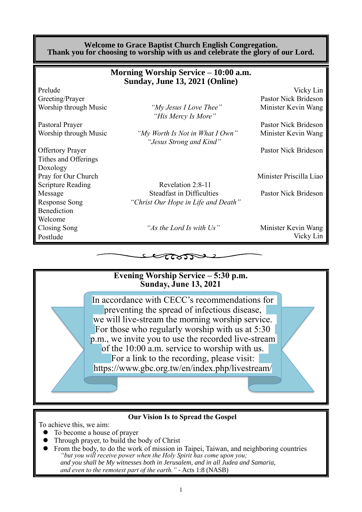### **Welcome to Grace Baptist Church English Congregation. Thank you for choosing to worship with us and celebrate the glory of our Lord.**

|                          | Morning Worship Service – 10:00 a.m.<br>Sunday, June 13, 2021 (Online) |                         |
|--------------------------|------------------------------------------------------------------------|-------------------------|
| Prelude                  |                                                                        | Vicky Lin               |
| Greeting/Prayer          |                                                                        | Pastor Nick Brideson    |
| Worship through Music    | "My Jesus I Love Thee"<br>"His Mercy Is More"                          | Minister Kevin Wang     |
| Pastoral Prayer          |                                                                        | Pastor Nick Brideson    |
| Worship through Music    | "My Worth Is Not in What I Own"<br>"Jesus Strong and Kind"             | Minister Kevin Wang     |
| <b>Offertory Prayer</b>  |                                                                        | Pastor Nick Brideson    |
| Tithes and Offerings     |                                                                        |                         |
| Doxology                 |                                                                        |                         |
| Pray for Our Church      |                                                                        | Minister Priscilla Liao |
| <b>Scripture Reading</b> | Revelation 2:8-11                                                      |                         |
| Message                  | <b>Steadfast in Difficulties</b>                                       | Pastor Nick Brideson    |
| <b>Response Song</b>     | "Christ Our Hope in Life and Death"                                    |                         |
| Benediction              |                                                                        |                         |
| Welcome                  |                                                                        |                         |
| Closing Song             | "As the Lord Is with Us"                                               | Minister Kevin Wang     |
| Postlude                 |                                                                        | Vicky Lin               |

 $\tau$ ಜನಾ



**Our Vision Is to Spread the Gospel**

To achieve this, we aim:

- ⚫ To become a house of prayer
- ⚫ Through prayer, to build the body of Christ
- ⚫ From the body, to do the work of mission in Taipei, Taiwan, and neighboring countries *"but you will receive power when the Holy Spirit has come upon you; and you shall be My witnesses both in Jerusalem, and in all Judea and Samaria, and even to the remotest part of the earth." -* Acts 1:8 (NASB)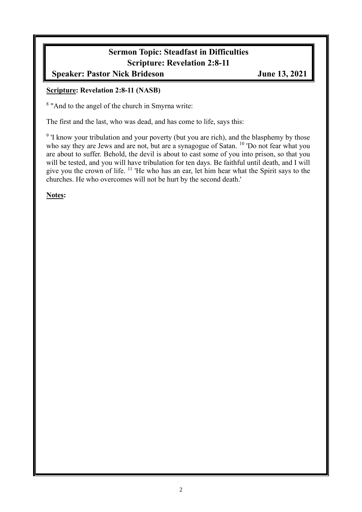# **Sermon Topic: Steadfast in Difficulties Scripture: Revelation 2:8-11**

# **Speaker: Pastor Nick Brideson June 13, 2021**

### **Scripture: Revelation 2:8-11 (NASB)**

<sup>8</sup> "And to the angel of the church in Smyrna write:

The first and the last, who was dead, and has come to life, says this:

<sup>9</sup> I know your tribulation and your poverty (but you are rich), and the blasphemy by those who say they are Jews and are not, but are a synagogue of Satan. <sup>10</sup> 'Do not fear what you are about to suffer. Behold, the devil is about to cast some of you into prison, so that you will be tested, and you will have tribulation for ten days. Be faithful until death, and I will give you the crown of life. <sup>11</sup> 'He who has an ear, let him hear what the Spirit says to the churches. He who overcomes will not be hurt by the second death.'

**Notes:**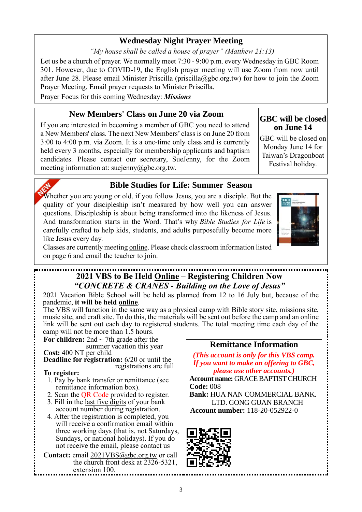## **Wednesday Night Prayer Meeting**

*"My house shall be called a house of prayer" (Matthew 21:13)*

Let us be a church of prayer. We normally meet 7:30 - 9:00 p.m. every Wednesday in GBC Room 301. However, due to COVID-19, the English prayer meeting will use Zoom from now until after June 28. Please email Minister Priscilla (priscilla@gbc.org.tw) for how to join the Zoom Prayer Meeting. Email prayer requests to Minister Priscilla.

Prayer Focus for this coming Wednesday: *Missions*

## **New Members' Class on June 20 via Zoom**

If you are interested in becoming a member of GBC you need to attend a New Members' class. The next New Members' class is on June 20 from 3:00 to 4:00 p.m. via Zoom. It is a one-time only class and is currently held every 3 months, especially for membership applicants and baptism candidates. Please contact our secretary, SueJenny, for the Zoom meeting information at: suejenny@gbc.org.tw.

### **GBC will be closed on June 14**

GBC will be closed on Monday June 14 for Taiwan's Dragonboat Festival holiday.



# **Bible Studies for Life: Summer Season**

Whether you are young or old, if you follow Jesus, you are a disciple. But the quality of your discipleship isn't measured by how well you can answer questions. Discipleship is about being transformed into the likeness of Jesus. And transformation starts in the Word. That's why *Bible Studies for Life* is carefully crafted to help kids, students, and adults purposefully become more like Jesus every day.



Classes are currently meeting online. Please check classroom information listed on page 6 and email the teacher to join.

# **2021 VBS to Be Held Online – Registering Children Now** *"CONCRETE & CRANES - Building on the Love of Jesus"*

2021 Vacation Bible School will be held as planned from 12 to 16 July but, because of the pandemic, **it will be held online**.

The VBS will function in the same way as a physical camp with Bible story site, missions site, music site, and craft site. To do this, the materials will be sent out before the camp and an online link will be sent out each day to registered students. The total meeting time each day of the camp will not be more than 1.5 hours.

For children:  $2nd \sim 7th$  grade after the

summer vacation this year **Cost:** 400 NT per child

**Deadline for registration:** 6/20 or until the registrations are full

### **To register:**

- 1. Pay by bank transfer or remittance (see remittance information box).
- 2. Scan the QR Code provided to register.
- 3. Fill in the last five digits of your bank account number during registration.
- 4. After the registration is completed, you will receive a confirmation email within three working days (that is, not Saturdays, Sundays, or national holidays). If you do not receive the email, please contact us

Contact: email 2021VBS@gbc.org.tw or call the church front desk at  $2326-5321$ . extension 100.

## **Remittance Information**

*(This account is only for this VBS camp. If you want to make an offering to GBC, please use other accounts.)*

**Account name:** GRACE BAPTIST CHURCH **Code:** 008

**Bank:** HUA NAN COMMERCIAL BANK. LTD. GONG GUAN BRANCH **Account number:** 118-20-052922-0

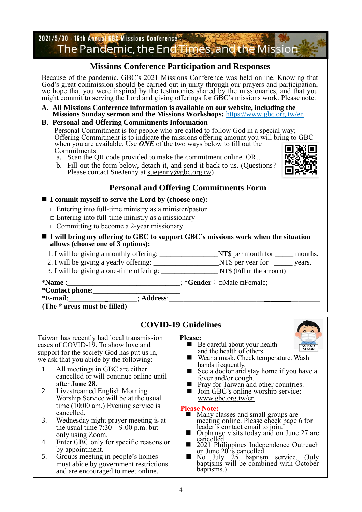2021/5/30 - 16th Annual GBC Missions Conference The Pandemic, the End Times, and the Mission **Missions Conference Participation and Responses** Because of the pandemic, GBC's 2021 Missions Conference was held online. Knowing that God's great commission should be carried out in unity through our prayers and participation, we hope that you were inspired by the testimonies shared by the missionaries, and that you might commit to serving the Lord and giving offerings for GBC's missions work. Please note: **A. All Missions Conference information is available on our website, including the Missions Sunday sermon and the Missions Workshops:** https://www.gbc.org.tw/en **B. Personal and Offering Commitments Information** Personal Commitment is for people who are called to follow God in a special way; Offering Commitment is to indicate the missions offering amount you will bring to GBC when you are available. Use **ONE** of the two ways below to fill out the Commitments: a. Scan the QR code provided to make the commitment online. OR…. b. Fill out the form below, detach it, and send it back to us. (Questions? Please contact SueJenny at suejenny@gbc.org.tw) -------------------------------------------------------------------------------------------------------------------- **Personal and Offering Commitments Form** ■ **I** commit myself to serve the Lord by (choose one):  $\Box$  Entering into full-time ministry as a minister/pastor  $\Box$  Entering into full-time ministry as a missionary  $\Box$  Committing to become a 2-year missionary ■ **I** will bring my offering to GBC to support GBC's missions work when the situation **allows (choose one of 3 options):** 1. I will be giving a monthly offering: \_\_\_\_\_\_\_\_\_\_\_\_\_\_\_\_\_\_NT\$ per month for \_\_\_\_\_\_ months. 2. I will be giving a yearly offering: \_\_\_\_\_\_\_\_\_\_\_\_\_\_\_\_\_\_\_\_\_\_NT\$ per year for \_\_\_\_\_\_ years. 3. I will be giving a one-time offering: \_\_\_\_\_\_\_\_\_\_\_\_\_\_\_\_\_ NT\$ (Fill in the amount) \***Name** :\_\_\_\_\_\_\_\_\_\_\_\_\_\_\_\_\_\_\_\_\_\_\_\_\_\_\_\_\_\_\_; \***Gender**:□Male □Female; \***Contact phone**:\_\_\_\_\_\_\_\_\_\_\_\_\_\_\_\_\_\_\_\_\_\_\_\_ \***E-mail**:\_\_\_\_\_\_\_\_\_\_; **Address**:\_\_\_\_\_\_\_\_\_\_\_\_\_\_\_\_\_\_\_\_\_\_\_\_\_

**(The \* areas must be filled)**

## **COVID-19 Guidelines**

Taiwan has recently had local transmission cases of COVID-19. To show love and support for the society God has put us in, we ask that you abide by the following:

- 1. All meetings in GBC are either cancelled or will continue online until after **June 28**.
- 2. Livestreamed English Morning Worship Service will be at the usual time  $(10:00 \text{ am.})$  Evening service is cancelled.
- 3. Wednesday night prayer meeting is at the usual time  $7:30 - 9:00$  p.m. but only using Zoom.
- 4. Enter GBC only for specific reasons or by appointment.
- 5. Groups meeting in people's homes must abide by government restrictions and are encouraged to meet online.
- **Please:**
	- Be careful about your health and the health of others.
	- Wear a mask. Check temperature. Wash hands frequently.
	- See a doctor and stay home if you have a fever and/or cough.
	- Pray for Taiwan and other countries. ■ Join GBC's online worship service:
	- www.gbc.org.tw/en

#### **Please Note:**

- Many classes and small groups are meeting online. Please check page 6 for leader's contact email to join.
- Orphange visits today and on June 27 are cancelled.
- 2021 Philippines Independence Outreach on June 20<sup>rt</sup>s cancelled.
- $\blacksquare$  No July 25 baptism service. (July baptisms will be combined with October baptisms.)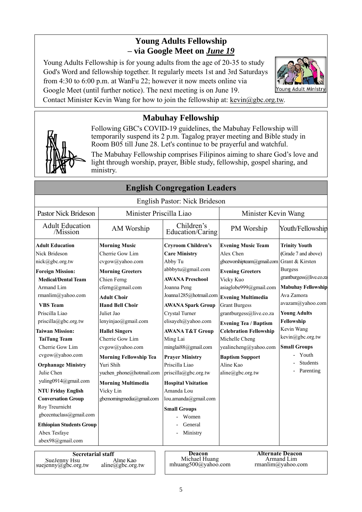# **Young Adults Fellowship – via Google Meet on** *June 19*

Young Adults Fellowship is for young adults from the age of 20-35 to study God's Word and fellowship together. It regularly meets 1st and 3rd Saturdays from 4:30 to 6:00 p.m. at WanFu 22; however it now meets online via Google Meet (until further notice). The next meeting is on June 19.



Contact Minister Kevin Wang for how to join the fellowship at: [kevin@gbc.org.tw.](mailto:kevin@gbc.org.tw)

# **Mabuhay Fellowship**

Following GBC's COVID-19 guidelines, the Mabuhay Fellowship will temporarily suspend its 2 p.m. Tagalog prayer meeting and Bible study in Room B05 till June 28. Let's continue to be prayerful and watchful.

The Mabuhay Fellowship comprises Filipinos aiming to share God's love and light through worship, prayer, Bible study, fellowship, gospel sharing, and ministry.

|                                                                 |                                           | $\cdots$                                              |                               |                                                            |
|-----------------------------------------------------------------|-------------------------------------------|-------------------------------------------------------|-------------------------------|------------------------------------------------------------|
|                                                                 |                                           | English Pastor: Nick Brideson                         |                               |                                                            |
| <b>Pastor Nick Brideson</b>                                     | Minister Priscilla Liao                   |                                                       | Minister Kevin Wang           |                                                            |
| <b>Adult Education</b><br>/Mission                              | AM Worship                                | Children's<br>Education/Caring                        | PM Worship                    | Youth/Fellowship                                           |
| <b>Adult Education</b>                                          | <b>Morning Music</b>                      | <b>Cryroom Children's</b>                             | <b>Evening Music Team</b>     | <b>Trinity Youth</b>                                       |
| Nick Brideson                                                   | Cherrie Gow Lim                           | <b>Care Ministry</b>                                  | Alex Chen                     | (Grade 7 and above)                                        |
| nick@gbc.org.tw                                                 | cvgow@yahoo.com                           | Abby Tu                                               | gbceworshipteam@gmail.com     | Grant & Kirsten                                            |
| <b>Foreign Mission:</b>                                         | <b>Morning Greeters</b>                   | abbbytu@gmail.com                                     | <b>Evening Greeters</b>       | <b>Burgess</b>                                             |
| <b>Medical/Dental Team</b>                                      | Chien Ferng                               | <b>AWANA Preschool</b>                                | Vicky Kuo                     | grantburgess@live.co.za                                    |
| Armand Lim                                                      | cferng@gmail.com                          | Joanna Peng                                           | asiaglobe999@gmail.com        | <b>Mabuhay Fellowship</b>                                  |
| rmanlim@yahoo.com                                               | <b>Adult Choir</b>                        | Joanna1285@hotmail.com Evening Multimedia             |                               | Ava Zamora                                                 |
| <b>VBS</b> Team                                                 | <b>Hand Bell Choir</b>                    | <b>AWANA Spark Group</b>                              | <b>Grant Burgess</b>          | avazam@yahoo.com                                           |
| Priscilla Liao                                                  | Juliet Jao                                | Crystal Turner                                        | grantburgess@live.co.za       | <b>Young Adults</b>                                        |
| $priscilla(\partial gbc.org.tw)$                                | lenyinjao@gmail.com                       | elisayeh@yahoo.com                                    | <b>Evening Tea / Baptism</b>  | Fellowship                                                 |
| <b>Taiwan Mission:</b>                                          | <b>Hallel Singers</b>                     | <b>AWANA T&amp;T Group</b>                            | <b>Celebration Fellowship</b> | Kevin Wang                                                 |
| <b>TaiTung Team</b>                                             | Cherrie Gow Lim                           | Ming Lai                                              | Michelle Cheng                | kevin@gbc.org.tw                                           |
| Cherrie Gow Lim                                                 | cvgow@yahoo.com                           | minglai88@gmail.com                                   | yealincheng@yahoo.com         | <b>Small Groups</b>                                        |
| cvgow@yahoo.com                                                 | <b>Morning Fellowship Tea</b>             | <b>Prayer Ministry</b>                                | <b>Baptism Support</b>        | Youth                                                      |
| <b>Orphanage Ministry</b>                                       | Yuri Shih                                 | Priscilla Liao                                        | Aline Kao                     | <b>Students</b>                                            |
| Julie Chen                                                      | yuchen phone@hotmail.com                  | priscilla@gbc.org.tw                                  | aline@gbc.org.tw              | Parenting                                                  |
| yuling0914@gmail.com                                            | <b>Morning Multimedia</b>                 | <b>Hospital Visitation</b>                            |                               |                                                            |
| <b>NTU Friday English</b>                                       | Vicky Lin                                 | Amanda Lou                                            |                               |                                                            |
| <b>Conversation Group</b>                                       | gbcmorningmedia@gmail.com                 | lou.amanda@gmail.com                                  |                               |                                                            |
| Roy Treurnicht                                                  |                                           |                                                       |                               |                                                            |
| gbcecntuclass@gmail.com                                         |                                           | <b>Small Groups</b><br>Women                          |                               |                                                            |
| <b>Ethiopian Students Group</b>                                 |                                           | General                                               |                               |                                                            |
| Abex Tesfaye                                                    |                                           | Ministry                                              |                               |                                                            |
| abex98@gmail.com                                                |                                           |                                                       |                               |                                                            |
|                                                                 |                                           |                                                       |                               |                                                            |
| <b>Secretarial staff</b><br>SueJenny Hsu<br>suejenny@gbc.org.tw | Aline Kao<br>$aline(\partial gbc.org.tw)$ | <b>Deacon</b><br>Michael Huang<br>mhuang500@yahoo.com |                               | <b>Alternate Deacon</b><br>Armand Lim<br>rmanlim@yahoo.com |

# **English Congregation Leaders**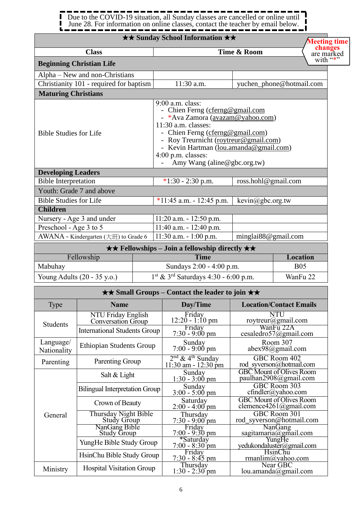ſ Due to the COVID-19 situation, all Sunday classes are cancelled or online until  $\blacksquare$ June 28. For information on online classes, contact the teacher by email below. J  $\mathbf{L}$  .

### ★★ **Sunday School Information** ★★

|                                         | $\star \star$ Sunday School Information $\star \star$                                                                                                                                                                                                                                        |                          | <b>Meeting time</b>     |
|-----------------------------------------|----------------------------------------------------------------------------------------------------------------------------------------------------------------------------------------------------------------------------------------------------------------------------------------------|--------------------------|-------------------------|
| <b>Class</b>                            |                                                                                                                                                                                                                                                                                              | Time & Room              | changes                 |
| <b>Beginning Christian Life</b>         |                                                                                                                                                                                                                                                                                              |                          | are marked<br>with $``$ |
| Alpha – New and non-Christians          |                                                                                                                                                                                                                                                                                              |                          |                         |
| Christianity 101 - required for baptism | 11:30 a.m.                                                                                                                                                                                                                                                                                   | yuchen_phone@hotmail.com |                         |
| <b>Maturing Christians</b>              |                                                                                                                                                                                                                                                                                              |                          |                         |
| <b>Bible Studies for Life</b>           | 9:00 a.m. class:<br>- Chien Ferng (cferng@gmail.com<br>- *Ava Zamora (avazam@yahoo.com)<br>11:30 a.m. classes:<br>- Chien Ferng (cferng@gmail.com)<br>- Roy Treurnicht (roytreur@gmail.com)<br>- Kevin Hartman (lou.amanda@gmail.com)<br>$4:00$ p.m. classes:<br>Amy Wang (aline@gbc.org.tw) |                          |                         |
| <b>Developing Leaders</b>               |                                                                                                                                                                                                                                                                                              |                          |                         |
| <b>Bible Interpretation</b>             | $*1:30 - 2:30$ p.m.                                                                                                                                                                                                                                                                          | ross.hohl@gmail.com      |                         |
| Youth: Grade 7 and above                |                                                                                                                                                                                                                                                                                              |                          |                         |
| <b>Bible Studies for Life</b>           | $*11:45$ a.m. - 12:45 p.m.                                                                                                                                                                                                                                                                   | kevin@gbc.org.tw         |                         |
| <b>Children</b>                         |                                                                                                                                                                                                                                                                                              |                          |                         |
| Nursery - Age 3 and under               | $11:20$ a.m. $-12:50$ p.m.                                                                                                                                                                                                                                                                   |                          |                         |
| Preschool - Age 3 to 5                  | $11:40$ a.m. $-12:40$ p.m.                                                                                                                                                                                                                                                                   |                          |                         |
| AWANA - Kindergarten (大班) to Grade 6    | $11:30$ a.m. $-1:00$ p.m.                                                                                                                                                                                                                                                                    | minglai88@gmail.com      |                         |
|                                         | $\star \star$ Fellowships – Join a fellowship directly $\star \star$                                                                                                                                                                                                                         |                          |                         |

|                                       | $\sim$ $\sim$ 1 chowships obtharborromp directly $\sim$ $\sim$ |            |
|---------------------------------------|----------------------------------------------------------------|------------|
| Fellowship                            | <b>Time</b>                                                    | Location   |
| Mabuhay                               | Sundays 2:00 - 4:00 p.m.                                       | <b>B05</b> |
| Young Adults $(20 - 35 \text{ y.o.})$ | $1st$ & 3 <sup>rd</sup> Saturdays 4:30 - 6:00 p.m.             | WanFu 22   |

|                          | $\star\star$ Small Groups – Contact the leader to join $\star\star$ |                                                        |                                                           |  |  |
|--------------------------|---------------------------------------------------------------------|--------------------------------------------------------|-----------------------------------------------------------|--|--|
| Type                     | <b>Name</b>                                                         | Day/Time                                               | <b>Location/Contact Emails</b>                            |  |  |
| <b>Students</b>          | NTU Friday English<br>Conversation Group                            | Friday<br>$12:20 - 1:10$ pm                            | NTU<br>roytreur@gmail.com                                 |  |  |
|                          | <b>International Students Group</b>                                 | Friday<br>$7:30 - 9:00$ pm                             | WanFu 22A<br>cesaledro57@gmail.com                        |  |  |
| Language/<br>Nationality | <b>Ethiopian Students Group</b>                                     | Sunday<br>$7:00 - 9:00$ pm                             | Room 307<br>$abex98$ @gmail.com                           |  |  |
| Parenting                | Parenting Group                                                     | $\frac{2^{nd} \& 4^{th}$ Sunday<br>11:30 am - 12:30 pm | GBC Room 402<br>rod syverson@hotmail.com                  |  |  |
|                          | Salt & Light                                                        | Sunday<br>$1:30 - 3:00$ pm                             | <b>GBC</b> Mount of Olives Room<br>paulhan2908@gmail.com  |  |  |
|                          | <b>Bilingual Interpretation Group</b>                               | Sunday<br>$3:00 - 5:00$ pm                             | GBC Room 303<br>cfindler@yahoo.com                        |  |  |
|                          | Crown of Beauty                                                     | Saturday<br>$2:00 - 4:00$ pm                           | <b>GBC</b> Mount of Olives Room<br>clemence4261@gmail.com |  |  |
| General                  | Thursday Night Bible<br>Study Group                                 | Thursday<br>$7:30 - 9:00$ pm                           | GBC Room 301<br>rod syverson@hotmail.com                  |  |  |
|                          | NanGang Bible<br><b>Study Group</b>                                 | Friday<br>$7:00 - 9:30$ pm                             | NanGang<br>sagitamaria@gmail.com                          |  |  |
|                          | YungHe Bible Study Group                                            | *Saturday<br>$7:00 - 8:30$ pm                          | YungHe<br>yedukondaluster@gmail.com                       |  |  |
|                          | HsinChu Bible Study Group                                           | Friday<br>$7:30 - 8:45$ pm                             | <b>HsinChu</b><br>rmanlim@yahoo.com                       |  |  |
| Ministry                 | <b>Hospital Visitation Group</b>                                    | Thursday<br>$1:30 - 2:30$ pm                           | Near GBC<br>lou.amanda@gmail.com                          |  |  |